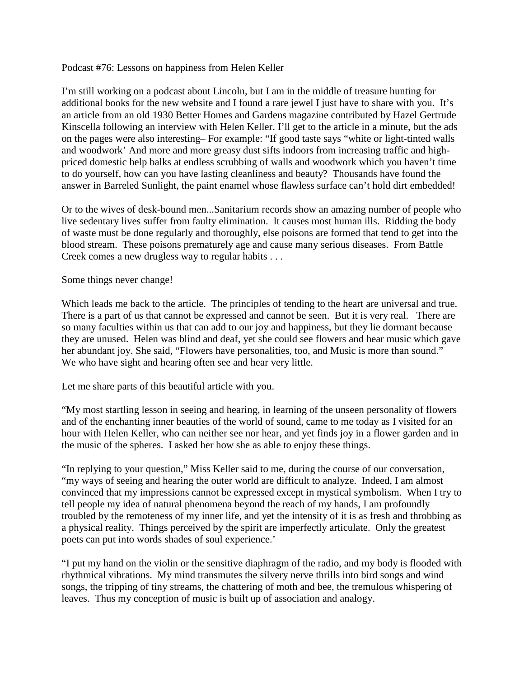Podcast #76: Lessons on happiness from Helen Keller

I'm still working on a podcast about Lincoln, but I am in the middle of treasure hunting for additional books for the new website and I found a rare jewel I just have to share with you. It's an article from an old 1930 Better Homes and Gardens magazine contributed by Hazel Gertrude Kinscella following an interview with Helen Keller. I'll get to the article in a minute, but the ads on the pages were also interesting– For example: "If good taste says "white or light-tinted walls and woodwork' And more and more greasy dust sifts indoors from increasing traffic and highpriced domestic help balks at endless scrubbing of walls and woodwork which you haven't time to do yourself, how can you have lasting cleanliness and beauty? Thousands have found the answer in Barreled Sunlight, the paint enamel whose flawless surface can't hold dirt embedded!

Or to the wives of desk-bound men...Sanitarium records show an amazing number of people who live sedentary lives suffer from faulty elimination. It causes most human ills. Ridding the body of waste must be done regularly and thoroughly, else poisons are formed that tend to get into the blood stream. These poisons prematurely age and cause many serious diseases. From Battle Creek comes a new drugless way to regular habits . . .

Some things never change!

Which leads me back to the article. The principles of tending to the heart are universal and true. There is a part of us that cannot be expressed and cannot be seen. But it is very real. There are so many faculties within us that can add to our joy and happiness, but they lie dormant because they are unused. Helen was blind and deaf, yet she could see flowers and hear music which gave her abundant joy. She said, "Flowers have personalities, too, and Music is more than sound." We who have sight and hearing often see and hear very little.

Let me share parts of this beautiful article with you.

"My most startling lesson in seeing and hearing, in learning of the unseen personality of flowers and of the enchanting inner beauties of the world of sound, came to me today as I visited for an hour with Helen Keller, who can neither see nor hear, and yet finds joy in a flower garden and in the music of the spheres. I asked her how she as able to enjoy these things.

"In replying to your question," Miss Keller said to me, during the course of our conversation, "my ways of seeing and hearing the outer world are difficult to analyze. Indeed, I am almost convinced that my impressions cannot be expressed except in mystical symbolism. When I try to tell people my idea of natural phenomena beyond the reach of my hands, I am profoundly troubled by the remoteness of my inner life, and yet the intensity of it is as fresh and throbbing as a physical reality. Things perceived by the spirit are imperfectly articulate. Only the greatest poets can put into words shades of soul experience.'

"I put my hand on the violin or the sensitive diaphragm of the radio, and my body is flooded with rhythmical vibrations. My mind transmutes the silvery nerve thrills into bird songs and wind songs, the tripping of tiny streams, the chattering of moth and bee, the tremulous whispering of leaves. Thus my conception of music is built up of association and analogy.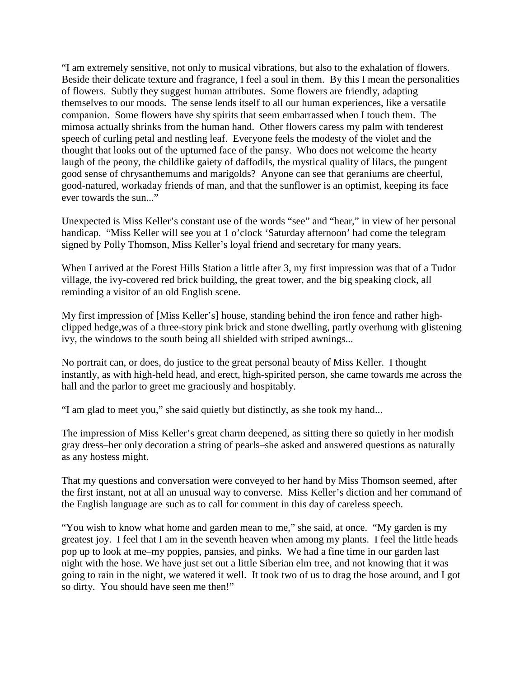"I am extremely sensitive, not only to musical vibrations, but also to the exhalation of flowers. Beside their delicate texture and fragrance, I feel a soul in them. By this I mean the personalities of flowers. Subtly they suggest human attributes. Some flowers are friendly, adapting themselves to our moods. The sense lends itself to all our human experiences, like a versatile companion. Some flowers have shy spirits that seem embarrassed when I touch them. The mimosa actually shrinks from the human hand. Other flowers caress my palm with tenderest speech of curling petal and nestling leaf. Everyone feels the modesty of the violet and the thought that looks out of the upturned face of the pansy. Who does not welcome the hearty laugh of the peony, the childlike gaiety of daffodils, the mystical quality of lilacs, the pungent good sense of chrysanthemums and marigolds? Anyone can see that geraniums are cheerful, good-natured, workaday friends of man, and that the sunflower is an optimist, keeping its face ever towards the sun..."

Unexpected is Miss Keller's constant use of the words "see" and "hear," in view of her personal handicap. "Miss Keller will see you at 1 o'clock 'Saturday afternoon' had come the telegram signed by Polly Thomson, Miss Keller's loyal friend and secretary for many years.

When I arrived at the Forest Hills Station a little after 3, my first impression was that of a Tudor village, the ivy-covered red brick building, the great tower, and the big speaking clock, all reminding a visitor of an old English scene.

My first impression of [Miss Keller's] house, standing behind the iron fence and rather highclipped hedge,was of a three-story pink brick and stone dwelling, partly overhung with glistening ivy, the windows to the south being all shielded with striped awnings...

No portrait can, or does, do justice to the great personal beauty of Miss Keller. I thought instantly, as with high-held head, and erect, high-spirited person, she came towards me across the hall and the parlor to greet me graciously and hospitably.

"I am glad to meet you," she said quietly but distinctly, as she took my hand...

The impression of Miss Keller's great charm deepened, as sitting there so quietly in her modish gray dress–her only decoration a string of pearls–she asked and answered questions as naturally as any hostess might.

That my questions and conversation were conveyed to her hand by Miss Thomson seemed, after the first instant, not at all an unusual way to converse. Miss Keller's diction and her command of the English language are such as to call for comment in this day of careless speech.

"You wish to know what home and garden mean to me," she said, at once. "My garden is my greatest joy. I feel that I am in the seventh heaven when among my plants. I feel the little heads pop up to look at me–my poppies, pansies, and pinks. We had a fine time in our garden last night with the hose. We have just set out a little Siberian elm tree, and not knowing that it was going to rain in the night, we watered it well. It took two of us to drag the hose around, and I got so dirty. You should have seen me then!"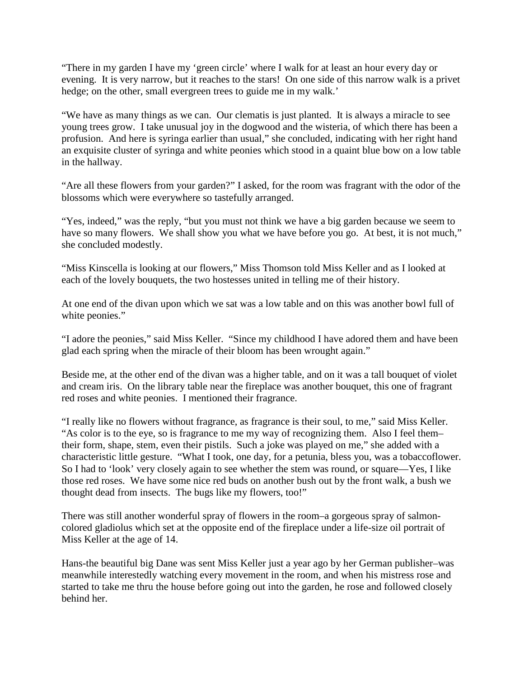"There in my garden I have my 'green circle' where I walk for at least an hour every day or evening. It is very narrow, but it reaches to the stars! On one side of this narrow walk is a privet hedge; on the other, small evergreen trees to guide me in my walk.'

"We have as many things as we can. Our clematis is just planted. It is always a miracle to see young trees grow. I take unusual joy in the dogwood and the wisteria, of which there has been a profusion. And here is syringa earlier than usual," she concluded, indicating with her right hand an exquisite cluster of syringa and white peonies which stood in a quaint blue bow on a low table in the hallway.

"Are all these flowers from your garden?" I asked, for the room was fragrant with the odor of the blossoms which were everywhere so tastefully arranged.

"Yes, indeed," was the reply, "but you must not think we have a big garden because we seem to have so many flowers. We shall show you what we have before you go. At best, it is not much," she concluded modestly.

"Miss Kinscella is looking at our flowers," Miss Thomson told Miss Keller and as I looked at each of the lovely bouquets, the two hostesses united in telling me of their history.

At one end of the divan upon which we sat was a low table and on this was another bowl full of white peonies."

"I adore the peonies," said Miss Keller. "Since my childhood I have adored them and have been glad each spring when the miracle of their bloom has been wrought again."

Beside me, at the other end of the divan was a higher table, and on it was a tall bouquet of violet and cream iris. On the library table near the fireplace was another bouquet, this one of fragrant red roses and white peonies. I mentioned their fragrance.

"I really like no flowers without fragrance, as fragrance is their soul, to me," said Miss Keller. "As color is to the eye, so is fragrance to me my way of recognizing them. Also I feel them– their form, shape, stem, even their pistils. Such a joke was played on me," she added with a characteristic little gesture. "What I took, one day, for a petunia, bless you, was a tobaccoflower. So I had to 'look' very closely again to see whether the stem was round, or square—Yes, I like those red roses. We have some nice red buds on another bush out by the front walk, a bush we thought dead from insects. The bugs like my flowers, too!"

There was still another wonderful spray of flowers in the room–a gorgeous spray of salmoncolored gladiolus which set at the opposite end of the fireplace under a life-size oil portrait of Miss Keller at the age of 14.

Hans-the beautiful big Dane was sent Miss Keller just a year ago by her German publisher–was meanwhile interestedly watching every movement in the room, and when his mistress rose and started to take me thru the house before going out into the garden, he rose and followed closely behind her.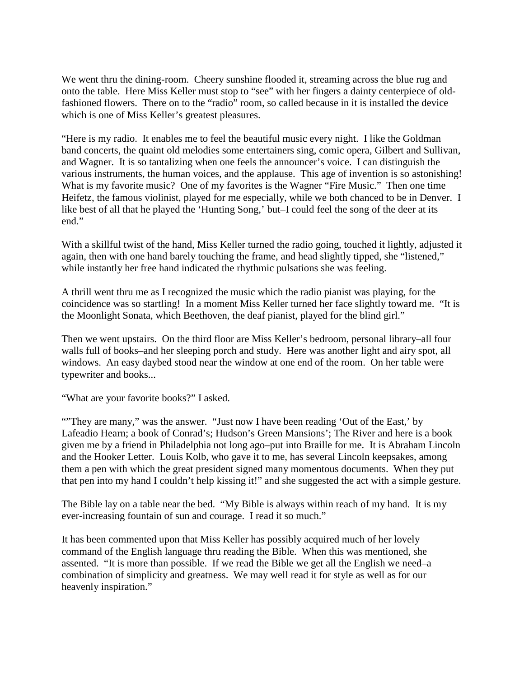We went thru the dining-room. Cheery sunshine flooded it, streaming across the blue rug and onto the table. Here Miss Keller must stop to "see" with her fingers a dainty centerpiece of oldfashioned flowers. There on to the "radio" room, so called because in it is installed the device which is one of Miss Keller's greatest pleasures.

"Here is my radio. It enables me to feel the beautiful music every night. I like the Goldman band concerts, the quaint old melodies some entertainers sing, comic opera, Gilbert and Sullivan, and Wagner. It is so tantalizing when one feels the announcer's voice. I can distinguish the various instruments, the human voices, and the applause. This age of invention is so astonishing! What is my favorite music? One of my favorites is the Wagner "Fire Music." Then one time Heifetz, the famous violinist, played for me especially, while we both chanced to be in Denver. I like best of all that he played the 'Hunting Song,' but–I could feel the song of the deer at its end."

With a skillful twist of the hand, Miss Keller turned the radio going, touched it lightly, adjusted it again, then with one hand barely touching the frame, and head slightly tipped, she "listened," while instantly her free hand indicated the rhythmic pulsations she was feeling.

A thrill went thru me as I recognized the music which the radio pianist was playing, for the coincidence was so startling! In a moment Miss Keller turned her face slightly toward me. "It is the Moonlight Sonata, which Beethoven, the deaf pianist, played for the blind girl."

Then we went upstairs. On the third floor are Miss Keller's bedroom, personal library–all four walls full of books–and her sleeping porch and study. Here was another light and airy spot, all windows. An easy daybed stood near the window at one end of the room. On her table were typewriter and books...

"What are your favorite books?" I asked.

"They are many," was the answer. "Just now I have been reading 'Out of the East,' by Lafeadio Hearn; a book of Conrad's; Hudson's Green Mansions'; The River and here is a book given me by a friend in Philadelphia not long ago–put into Braille for me. It is Abraham Lincoln and the Hooker Letter. Louis Kolb, who gave it to me, has several Lincoln keepsakes, among them a pen with which the great president signed many momentous documents. When they put that pen into my hand I couldn't help kissing it!" and she suggested the act with a simple gesture.

The Bible lay on a table near the bed. "My Bible is always within reach of my hand. It is my ever-increasing fountain of sun and courage. I read it so much."

It has been commented upon that Miss Keller has possibly acquired much of her lovely command of the English language thru reading the Bible. When this was mentioned, she assented. "It is more than possible. If we read the Bible we get all the English we need–a combination of simplicity and greatness. We may well read it for style as well as for our heavenly inspiration."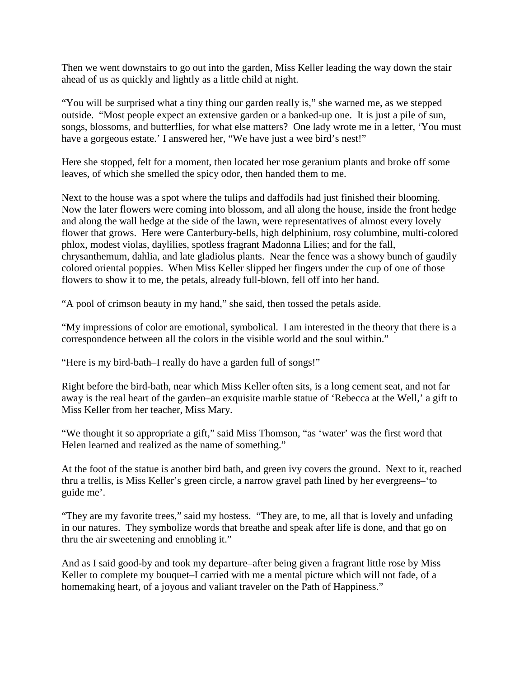Then we went downstairs to go out into the garden, Miss Keller leading the way down the stair ahead of us as quickly and lightly as a little child at night.

"You will be surprised what a tiny thing our garden really is," she warned me, as we stepped outside. "Most people expect an extensive garden or a banked-up one. It is just a pile of sun, songs, blossoms, and butterflies, for what else matters? One lady wrote me in a letter, 'You must have a gorgeous estate.' I answered her, "We have just a wee bird's nest!"

Here she stopped, felt for a moment, then located her rose geranium plants and broke off some leaves, of which she smelled the spicy odor, then handed them to me.

Next to the house was a spot where the tulips and daffodils had just finished their blooming. Now the later flowers were coming into blossom, and all along the house, inside the front hedge and along the wall hedge at the side of the lawn, were representatives of almost every lovely flower that grows. Here were Canterbury-bells, high delphinium, rosy columbine, multi-colored phlox, modest violas, daylilies, spotless fragrant Madonna Lilies; and for the fall, chrysanthemum, dahlia, and late gladiolus plants. Near the fence was a showy bunch of gaudily colored oriental poppies. When Miss Keller slipped her fingers under the cup of one of those flowers to show it to me, the petals, already full-blown, fell off into her hand.

"A pool of crimson beauty in my hand," she said, then tossed the petals aside.

"My impressions of color are emotional, symbolical. I am interested in the theory that there is a correspondence between all the colors in the visible world and the soul within."

"Here is my bird-bath–I really do have a garden full of songs!"

Right before the bird-bath, near which Miss Keller often sits, is a long cement seat, and not far away is the real heart of the garden–an exquisite marble statue of 'Rebecca at the Well,' a gift to Miss Keller from her teacher, Miss Mary.

"We thought it so appropriate a gift," said Miss Thomson, "as 'water' was the first word that Helen learned and realized as the name of something."

At the foot of the statue is another bird bath, and green ivy covers the ground. Next to it, reached thru a trellis, is Miss Keller's green circle, a narrow gravel path lined by her evergreens–'to guide me'.

"They are my favorite trees," said my hostess. "They are, to me, all that is lovely and unfading in our natures. They symbolize words that breathe and speak after life is done, and that go on thru the air sweetening and ennobling it."

And as I said good-by and took my departure–after being given a fragrant little rose by Miss Keller to complete my bouquet–I carried with me a mental picture which will not fade, of a homemaking heart, of a joyous and valiant traveler on the Path of Happiness."